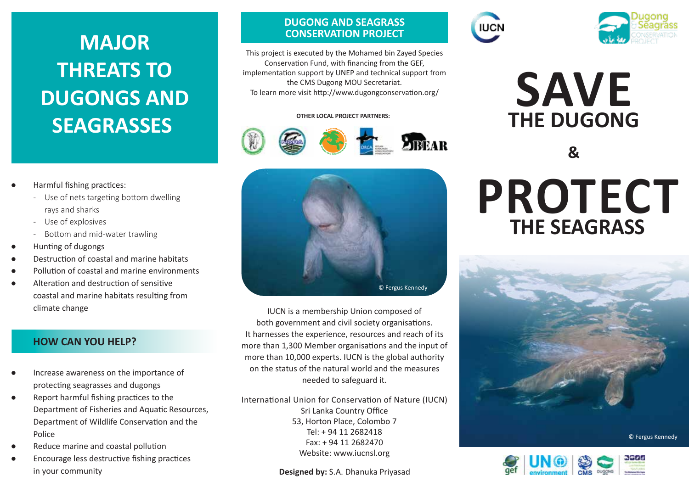## **MAJOR THREATS TO DUGONGS AND SEAGRASSES**

### Harmful fishing practices:

- Use of nets targeting bottom dwelling rays and sharks
- Use of explosives
- Bottom and mid-water trawling
- Hunting of dugongs
- Destruction of coastal and marine habitats
- Pollution of coastal and marine environments
- Alteration and destruction of sensitive coastal and marine habitats resulting from climate change

## **HOW CAN YOU HELP?**

- Increase awareness on the importance of protecting seagrasses and dugongs
- Report harmful fishing practices to the Department of Fisheries and Aquatic Resources, Department of Wildlife Conservation and the Police
- Reduce marine and coastal pollution
- Encourage less destructive fishing practices in your community

## **DUGONG AND SEAGRASS CONSERVATION PROJECT**

This project is executed by the Mohamed bin Zayed Species Conservation Fund, with financing from the GEF, implementation support by UNEP and technical support from the CMS Dugong MOU Secretariat. To learn more visit http://www.dugongconservation.org/

### **OTHER LOCAL PROJECT PARTNERS:**





IUCN is a membership Union composed of both government and civil society organisations. It harnesses the experience, resources and reach of its more than 1,300 Member organisations and the input of more than 10,000 experts. IUCN is the global authority on the status of the natural world and the measures needed to safeguard it.

International Union for Conservation of Nature (IUCN) Sri Lanka Country Office 53, Horton Place, Colombo 7 Tel: + 94 11 2682418 Fax: + 94 11 2682470 Website: www.iucnsl.org

**Designed by:** S.A. Dhanuka Priyasad





# **SAVE THE DUGONG**

**&**

# **PROTECT THE SEAGRASS**



© Fergus Kennedy